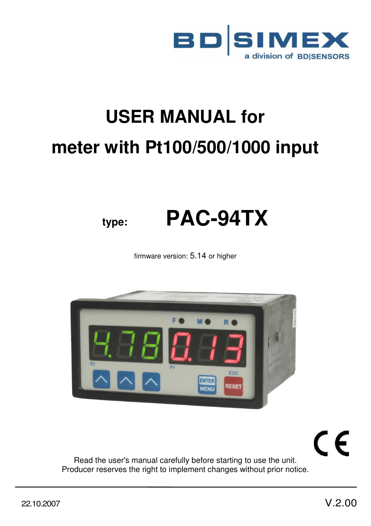

# **USER MANUAL for meter with Pt100/500/1000 input**

# **type: PAC-94TX**

firmware version: 5.14 or higher



CE

Read the user's manual carefully before starting to use the unit. Producer reserves the right to implement changes without prior notice.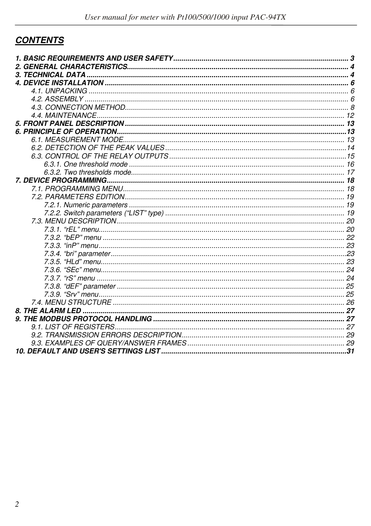# **CONTENTS**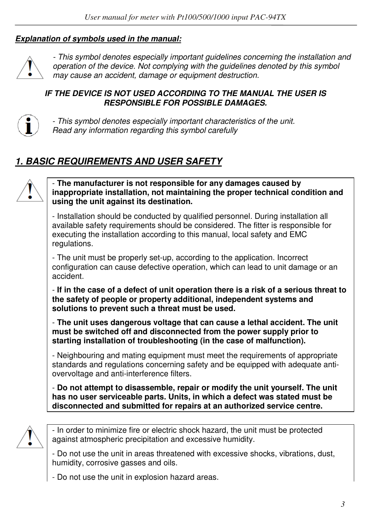#### *Explanation of symbols used in the manual:*



*- This symbol denotes especially important guidelines concerning the installation and operation of the device. Not complying with the guidelines denoted by this symbol may cause an accident, damage or equipment destruction.*

#### *IF THE DEVICE IS NOT USED ACCORDING TO THE MANUAL THE USER IS RESPONSIBLE FOR POSSIBLE DAMAGES.*



*- This symbol denotes especially important characteristics of the unit. Read any information regarding this symbol carefully* 

# *1. BASIC REQUIREMENTS AND USER SAFETY*



- **The manufacturer is not responsible for any damages caused by inappropriate installation, not maintaining the proper technical condition and using the unit against its destination.** 

- Installation should be conducted by qualified personnel. During installation all available safety requirements should be considered. The fitter is responsible for executing the installation according to this manual, local safety and EMC regulations.

- The unit must be properly set-up, according to the application. Incorrect configuration can cause defective operation, which can lead to unit damage or an accident.

- **If in the case of a defect of unit operation there is a risk of a serious threat to the safety of people or property additional, independent systems and solutions to prevent such a threat must be used.** 

- **The unit uses dangerous voltage that can cause a lethal accident. The unit must be switched off and disconnected from the power supply prior to starting installation of troubleshooting (in the case of malfunction).** 

- Neighbouring and mating equipment must meet the requirements of appropriate standards and regulations concerning safety and be equipped with adequate antiovervoltage and anti-interference filters.

- **Do not attempt to disassemble, repair or modify the unit yourself. The unit has no user serviceable parts. Units, in which a defect was stated must be disconnected and submitted for repairs at an authorized service centre.** 



- In order to minimize fire or electric shock hazard, the unit must be protected against atmospheric precipitation and excessive humidity.

- Do not use the unit in areas threatened with excessive shocks, vibrations, dust, humidity, corrosive gasses and oils.

- Do not use the unit in explosion hazard areas.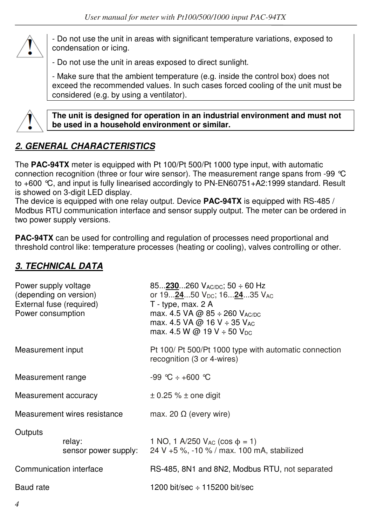

- Do not use the unit in areas with significant temperature variations, exposed to condensation or icing.

- Do not use the unit in areas exposed to direct sunlight.

- Make sure that the ambient temperature (e.g. inside the control box) does not exceed the recommended values. In such cases forced cooling of the unit must be considered (e.g. by using a ventilator).



**The unit is designed for operation in an industrial environment and must not be used in a household environment or similar.** 

# *2. GENERAL CHARACTERISTICS*

The **PAC-94TX** meter is equipped with Pt 100/Pt 500/Pt 1000 type input, with automatic connection recognition (three or four wire sensor). The measurement range spans from -99 °C to +600 °C, and input is fully linearised accordingly to PN-EN60751+A2:1999 standard. Result is showed on 3-digit LED display.

The device is equipped with one relay output. Device **PAC-94TX** is equipped with RS-485 / Modbus RTU communication interface and sensor supply output. The meter can be ordered in two power supply versions.

**PAC-94TX** can be used for controlling and regulation of processes need proportional and threshold control like: temperature processes (heating or cooling), valves controlling or other.

## *3. TECHNICAL DATA*

| Power supply voltage<br>(depending on version)<br>External fuse (required)<br>Power consumption |                              | 85 $230260$ V <sub>AC/DC</sub> ; 50 $\div$ 60 Hz<br>or 192450 $V_{\text{DC}}$ ; 162435 $V_{\text{AC}}$<br>$T - type$ , max. 2 A<br>max. 4.5 VA @ 85 ÷ 260 $V_{AC/DC}$<br>max. 4.5 VA @ 16 V $\div$ 35 V <sub>AC</sub><br>max. 4.5 W @ 19 V $\div$ 50 V <sub>DC</sub> |  |  |  |
|-------------------------------------------------------------------------------------------------|------------------------------|----------------------------------------------------------------------------------------------------------------------------------------------------------------------------------------------------------------------------------------------------------------------|--|--|--|
| Measurement input                                                                               |                              | Pt 100/ Pt 500/Pt 1000 type with automatic connection<br>recognition (3 or 4-wires)                                                                                                                                                                                  |  |  |  |
| Measurement range                                                                               |                              | $-99$ °C $+ +600$ °C                                                                                                                                                                                                                                                 |  |  |  |
| Measurement accuracy                                                                            |                              | $\pm$ 0.25 % $\pm$ one digit                                                                                                                                                                                                                                         |  |  |  |
|                                                                                                 | Measurement wires resistance | max. 20 $\Omega$ (every wire)                                                                                                                                                                                                                                        |  |  |  |
| Outputs<br>relay:<br>sensor power supply:                                                       |                              | 1 NO, 1 A/250 $V_{AC}$ (cos $\phi = 1$ )<br>24 V +5 %, -10 % / max. 100 mA, stabilized                                                                                                                                                                               |  |  |  |
| Communication interface                                                                         |                              | RS-485, 8N1 and 8N2, Modbus RTU, not separated                                                                                                                                                                                                                       |  |  |  |
| Baud rate                                                                                       |                              | 1200 bit/sec $\div$ 115200 bit/sec                                                                                                                                                                                                                                   |  |  |  |
|                                                                                                 |                              |                                                                                                                                                                                                                                                                      |  |  |  |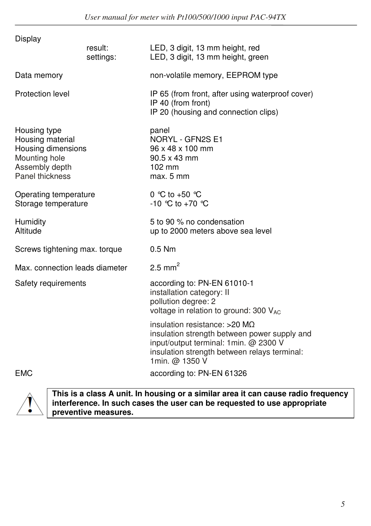| Display                                                                                                      |                      |                                                                                                                                                                                            |  |  |  |
|--------------------------------------------------------------------------------------------------------------|----------------------|--------------------------------------------------------------------------------------------------------------------------------------------------------------------------------------------|--|--|--|
|                                                                                                              | result:<br>settings: | LED, 3 digit, 13 mm height, red<br>LED, 3 digit, 13 mm height, green                                                                                                                       |  |  |  |
| Data memory                                                                                                  |                      | non-volatile memory, EEPROM type                                                                                                                                                           |  |  |  |
| Protection level                                                                                             |                      | IP 65 (from front, after using waterproof cover)<br>IP 40 (from front)<br>IP 20 (housing and connection clips)                                                                             |  |  |  |
| Housing type<br>Housing material<br>Housing dimensions<br>Mounting hole<br>Assembly depth<br>Panel thickness |                      | panel<br>NORYL - GFN2S E1<br>96 x 48 x 100 mm<br>$90.5 \times 43$ mm<br>$102 \text{ mm}$<br>max. 5 mm                                                                                      |  |  |  |
| Operating temperature<br>Storage temperature                                                                 |                      | 0 °C to +50 °C<br>-10 °C to +70 °C                                                                                                                                                         |  |  |  |
| Humidity<br>Altitude                                                                                         |                      | 5 to 90 % no condensation<br>up to 2000 meters above sea level                                                                                                                             |  |  |  |
| Screws tightening max. torque                                                                                |                      | $0.5$ Nm                                                                                                                                                                                   |  |  |  |
| Max. connection leads diameter                                                                               |                      | $2.5$ mm <sup>2</sup>                                                                                                                                                                      |  |  |  |
| Safety requirements                                                                                          |                      | according to: PN-EN 61010-1<br>installation category: II<br>pollution degree: 2<br>voltage in relation to ground: 300 VAC                                                                  |  |  |  |
|                                                                                                              |                      | insulation resistance: $>20$ MQ<br>insulation strength between power supply and<br>input/output terminal: 1min. @ 2300 V<br>insulation strength between relays terminal:<br>1min. @ 1350 V |  |  |  |
| <b>EMC</b>                                                                                                   |                      | according to: PN-EN 61326                                                                                                                                                                  |  |  |  |



**This is a class A unit. In housing or a similar area it can cause radio frequency interference. In such cases the user can be requested to use appropriate preventive measures.**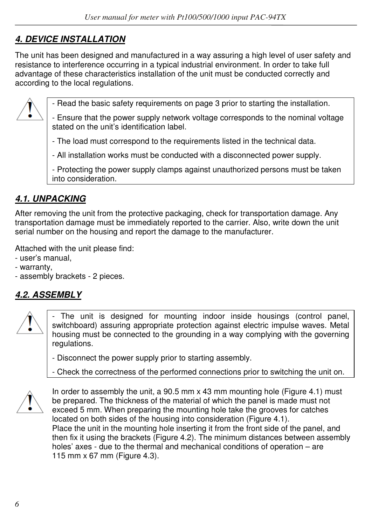# *4. DEVICE INSTALLATION*

The unit has been designed and manufactured in a way assuring a high level of user safety and resistance to interference occurring in a typical industrial environment. In order to take full advantage of these characteristics installation of the unit must be conducted correctly and according to the local regulations.



- Read the basic safety requirements on page 3 prior to starting the installation.

- Ensure that the power supply network voltage corresponds to the nominal voltage stated on the unit's identification label.

- The load must correspond to the requirements listed in the technical data.

- All installation works must be conducted with a disconnected power supply.

- Protecting the power supply clamps against unauthorized persons must be taken into consideration.

# *4.1. UNPACKING*

After removing the unit from the protective packaging, check for transportation damage. Any transportation damage must be immediately reported to the carrier. Also, write down the unit serial number on the housing and report the damage to the manufacturer.

Attached with the unit please find:

- user's manual,
- warranty,
- assembly brackets 2 pieces.

# *4.2. ASSEMBLY*



- The unit is designed for mounting indoor inside housings (control panel, switchboard) assuring appropriate protection against electric impulse waves. Metal housing must be connected to the grounding in a way complying with the governing regulations.

- Disconnect the power supply prior to starting assembly.

- Check the correctness of the performed connections prior to switching the unit on.



In order to assembly the unit, a 90.5 mm x 43 mm mounting hole (Figure 4.1) must be prepared. The thickness of the material of which the panel is made must not exceed 5 mm. When preparing the mounting hole take the grooves for catches located on both sides of the housing into consideration (Figure 4.1). Place the unit in the mounting hole inserting it from the front side of the panel, and then fix it using the brackets (Figure 4.2). The minimum distances between assembly holes' axes - due to the thermal and mechanical conditions of operation – are 115 mm x 67 mm (Figure 4.3).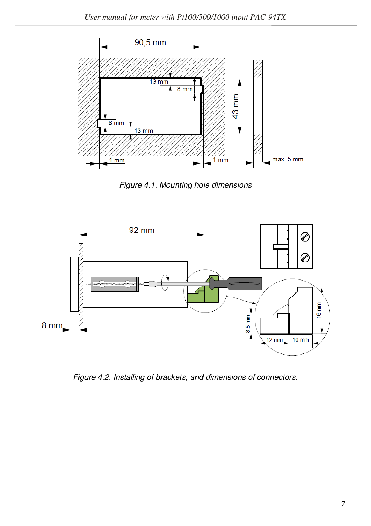

*Figure 4.1. Mounting hole dimensions* 



*Figure 4.2. Installing of brackets, and dimensions of connectors.*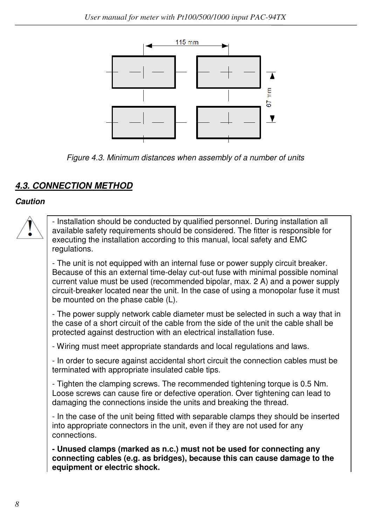

*Figure 4.3. Minimum distances when assembly of a number of units* 

# *4.3. CONNECTION METHOD*

#### *Caution*

- Installation should be conducted by qualified personnel. During installation all available safety requirements should be considered. The fitter is responsible for executing the installation according to this manual, local safety and EMC regulations.

- The unit is not equipped with an internal fuse or power supply circuit breaker. Because of this an external time-delay cut-out fuse with minimal possible nominal current value must be used (recommended bipolar, max. 2 A) and a power supply circuit-breaker located near the unit. In the case of using a monopolar fuse it must be mounted on the phase cable (L).

- The power supply network cable diameter must be selected in such a way that in the case of a short circuit of the cable from the side of the unit the cable shall be protected against destruction with an electrical installation fuse.

- Wiring must meet appropriate standards and local regulations and laws.

- In order to secure against accidental short circuit the connection cables must be terminated with appropriate insulated cable tips.

- Tighten the clamping screws. The recommended tightening torque is 0.5 Nm. Loose screws can cause fire or defective operation. Over tightening can lead to damaging the connections inside the units and breaking the thread.

- In the case of the unit being fitted with separable clamps they should be inserted into appropriate connectors in the unit, even if they are not used for any connections.

**- Unused clamps (marked as n.c.) must not be used for connecting any connecting cables (e.g. as bridges), because this can cause damage to the equipment or electric shock.**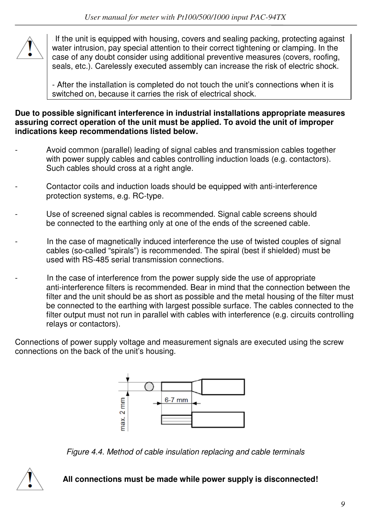

If the unit is equipped with housing, covers and sealing packing, protecting against water intrusion, pay special attention to their correct tightening or clamping. In the case of any doubt consider using additional preventive measures (covers, roofing, seals, etc.). Carelessly executed assembly can increase the risk of electric shock.

- After the installation is completed do not touch the unit's connections when it is switched on, because it carries the risk of electrical shock.

**Due to possible significant interference in industrial installations appropriate measures assuring correct operation of the unit must be applied. To avoid the unit of improper indications keep recommendations listed below.** 

- Avoid common (parallel) leading of signal cables and transmission cables together with power supply cables and cables controlling induction loads (e.g. contactors). Such cables should cross at a right angle.
- Contactor coils and induction loads should be equipped with anti-interference protection systems, e.g. RC-type.
- Use of screened signal cables is recommended. Signal cable screens should be connected to the earthing only at one of the ends of the screened cable.
- In the case of magnetically induced interference the use of twisted couples of signal cables (so-called "spirals") is recommended. The spiral (best if shielded) must be used with RS-485 serial transmission connections.
- In the case of interference from the power supply side the use of appropriate anti-interference filters is recommended. Bear in mind that the connection between the filter and the unit should be as short as possible and the metal housing of the filter must be connected to the earthing with largest possible surface. The cables connected to the filter output must not run in parallel with cables with interference (e.g. circuits controlling relays or contactors).

Connections of power supply voltage and measurement signals are executed using the screw connections on the back of the unit's housing.



*Figure 4.4. Method of cable insulation replacing and cable terminals* 



 **All connections must be made while power supply is disconnected!**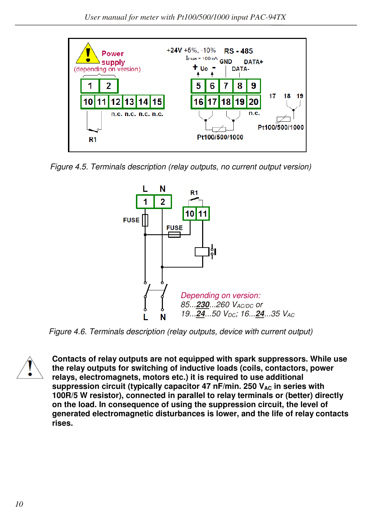

*Figure 4.5. Terminals description (relay outputs, no current output version)*



*Figure 4.6. Terminals description (relay outputs, device with current output)* 



**Contacts of relay outputs are not equipped with spark suppressors. While use the relay outputs for switching of inductive loads (coils, contactors, power relays, electromagnets, motors etc.) it is required to use additional**  suppression circuit (typically capacitor 47 nF/min. 250 V<sub>AC</sub> in series with **100R/5 W resistor), connected in parallel to relay terminals or (better) directly on the load. In consequence of using the suppression circuit, the level of generated electromagnetic disturbances is lower, and the life of relay contacts rises.**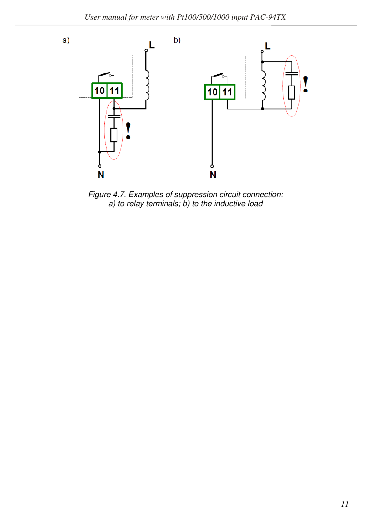

*Figure 4.7. Examples of suppression circuit connection: a) to relay terminals; b) to the inductive load*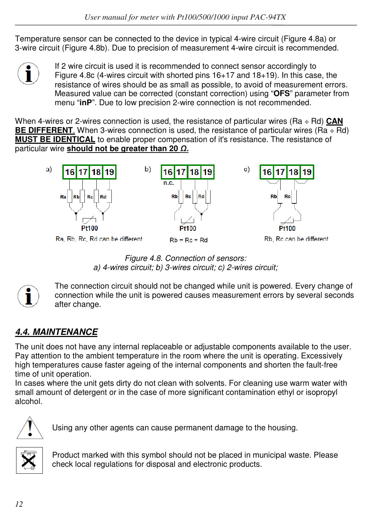Temperature sensor can be connected to the device in typical 4-wire circuit (Figure 4.8a) or 3-wire circuit (Figure 4.8b). Due to precision of measurement 4-wire circuit is recommended.



If 2 wire circuit is used it is recommended to connect sensor accordingly to Figure 4.8c (4-wires circuit with shorted pins 16+17 and 18+19). In this case, the resistance of wires should be as small as possible, to avoid of measurement errors. Measured value can be corrected (constant correction) using "**OFS**" parameter from menu "**inP**". Due to low precision 2-wire connection is not recommended.

When 4-wires or 2-wires connection is used, the resistance of particular wires (Ra ÷ Rd) **CAN BE DIFFERENT**. When 3-wires connection is used, the resistance of particular wires (Ra ÷ Rd) **MUST BE IDENTICAL** to enable proper compensation of it's resistance. The resistance of particular wire **should not be greater than 20** *Ω.*



*Figure 4.8. Connection of sensors: a) 4-wires circuit; b) 3-wires circuit; c) 2-wires circuit;* 



The connection circuit should not be changed while unit is powered. Every change of connection while the unit is powered causes measurement errors by several seconds after change.

# *4.4. MAINTENANCE*

The unit does not have any internal replaceable or adjustable components available to the user. Pay attention to the ambient temperature in the room where the unit is operating. Excessively high temperatures cause faster ageing of the internal components and shorten the fault-free time of unit operation.

In cases where the unit gets dirty do not clean with solvents. For cleaning use warm water with small amount of detergent or in the case of more significant contamination ethyl or isopropyl alcohol.



Using any other agents can cause permanent damage to the housing.



Product marked with this symbol should not be placed in municipal waste. Please check local regulations for disposal and electronic products.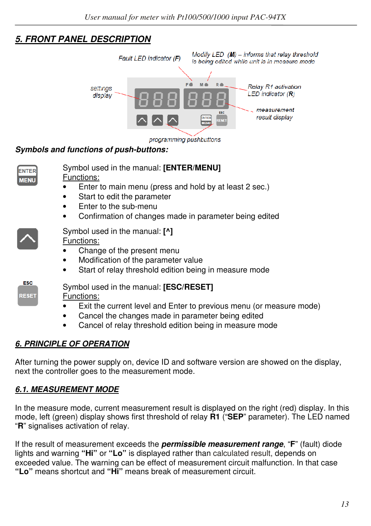# *5. FRONT PANEL DESCRIPTION*



#### *Symbols and functions of push-buttons:*



## *6. PRINCIPLE OF OPERATION*

After turning the power supply on, device ID and software version are showed on the display, next the controller goes to the measurement mode.

## *6.1. MEASUREMENT MODE*

In the measure mode, current measurement result is displayed on the right (red) display. In this mode, left (green) display shows first threshold of relay **R1** ("**SEP**" parameter). The LED named "**R**" signalises activation of relay.

If the result of measurement exceeds the *permissible measurement range*, "**F**" (fault) diode lights and warning **"Hi"** or **"Lo"** is displayed rather than calculated result, depends on exceeded value. The warning can be effect of measurement circuit malfunction. In that case **"Lo"** means shortcut and **"Hi"** means break of measurement circuit.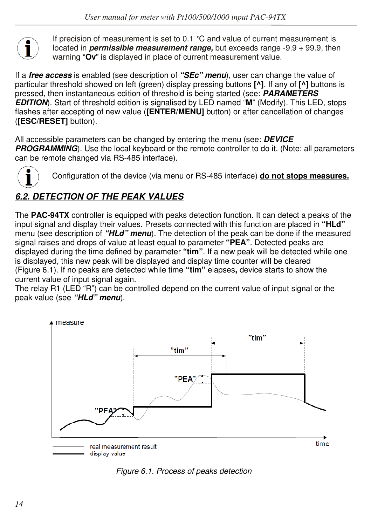

If precision of measurement is set to 0.1 °C and value of current measurement is located in *permissible measurement range,* but exceeds range -9.9 ÷ 99.9, then warning "**Ov**" is displayed in place of current measurement value.

If a *free access* is enabled (see description of *"SEc" menu*), user can change the value of particular threshold showed on left (green) display pressing buttons **[^]**. If any of **[^]** buttons is pressed, then instantaneous edition of threshold is being started (see: *PARAMETERS EDITION*). Start of threshold edition is signalised by LED named "**M**" (Modify). This LED, stops flashes after accepting of new value (**[ENTER/MENU]** button) or after cancellation of changes (**[ESC/RESET]** button).

All accessible parameters can be changed by entering the menu (see: *DEVICE*  **PROGRAMMING**). Use the local keyboard or the remote controller to do it. (Note: all parameters can be remote changed via RS-485 interface).



Configuration of the device (via menu or RS-485 interface) **do not stops measures.**

# *6.2. DETECTION OF THE PEAK VALUES*

The **PAC-94TX** controller is equipped with peaks detection function. It can detect a peaks of the input signal and display their values. Presets connected with this function are placed in **"HLd"**  menu (see description of *"HLd" menu*). The detection of the peak can be done if the measured signal raises and drops of value at least equal to parameter **"PEA"**. Detected peaks are displayed during the time defined by parameter **"tim"**. If a new peak will be detected while one is displayed, this new peak will be displayed and display time counter will be cleared (Figure 6.1). If no peaks are detected while time **"tim"** elapses**,** device starts to show the current value of input signal again.

The relay R1 (LED "R") can be controlled depend on the current value of input signal or the peak value (see *"HLd" menu*).



*Figure 6.1. Process of peaks detection*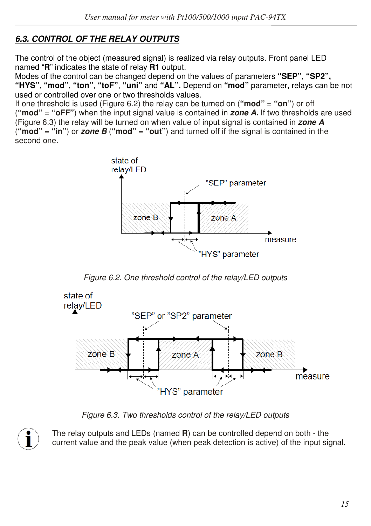## *6.3. CONTROL OF THE RELAY OUTPUTS*

The control of the object (measured signal) is realized via relay outputs. Front panel LED named "**R**" indicates the state of relay **R1** output.

Modes of the control can be changed depend on the values of parameters **"SEP"**, **"SP2", "HYS"**, **"mod"**, **"ton"**, **"toF"**, **"uni"** and **"AL".** Depend on **"mod"** parameter, relays can be not used or controlled over one or two thresholds values.

If one threshold is used (Figure 6.2) the relay can be turned on (**"mod"** = **"on"**) or off (**"mod"** = **"oFF"**) when the input signal value is contained in *zone A.* If two thresholds are used (Figure 6.3) the relay will be turned on when value of input signal is contained in *zone A*  (**"mod"** = **"in"**) or *zone B* (**"mod"** = **"out"**) and turned off if the signal is contained in the second one.



*Figure 6.2. One threshold control of the relay/LED outputs* 



*Figure 6.3. Two thresholds control of the relay/LED outputs* 



The relay outputs and LEDs (named **R**) can be controlled depend on both - the current value and the peak value (when peak detection is active) of the input signal.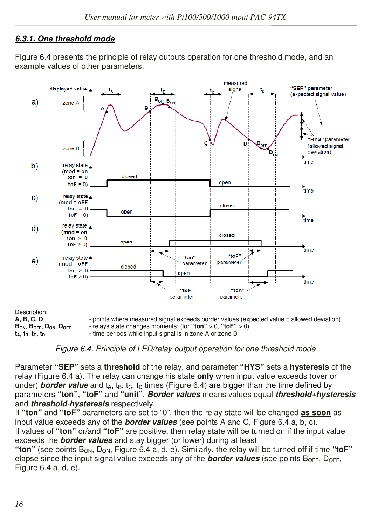## *6.3.1. One threshold mode*

Figure 6.4 presents the principle of relay outputs operation for one threshold mode, and an example values of other parameters.



*Figure 6.4. Principle of LED/relay output operation for one threshold mode*

Parameter **"SEP"** sets a **threshold** of the relay, and parameter **"HYS"** sets a **hysteresis** of the relay (Figure 6.4 a). The relay can change his state **only** when input value exceeds (over or under) **border value** and  $t_A$ ,  $t_B$ ,  $t_C$ ,  $t_D$  times (Figure 6.4) are bigger than the time defined by parameters **"ton"**, **"toF"** and **"unit"**. *Border values* means values equal *threshold+hysteresis* and *threshold-hysteresis* respectively.

If **"ton"** and **"toF"** parameters are set to "0", then the relay state will be changed **as soon** as input value exceeds any of the *border values* (see points A and C, Figure 6.4 a, b, c). If values of **"ton"** or/and **"toF"** are positive, then relay state will be turned on if the input value exceeds the *border values* and stay bigger (or lower) during at least

"ton" (see points B<sub>ON</sub>, D<sub>ON</sub>, Figure 6.4 a, d, e). Similarly, the relay will be turned off if time "toF" elapse since the input signal value exceeds any of the **border values** (see points  $B_{\text{OFF}}$ ,  $D_{\text{OFF}}$ , Figure 6.4 a, d, e).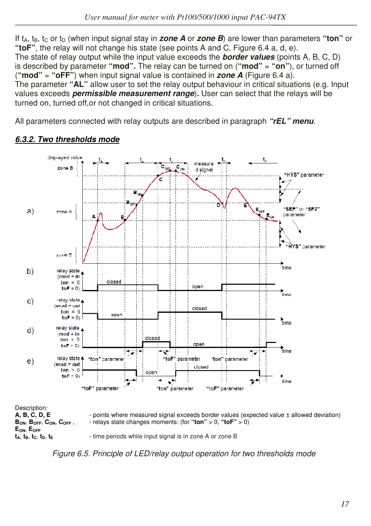If t<sub>a, the</sub> t<sub>c</sub> or t<sub>D</sub> (when input signal stay in *zone A* or *zone B*) are lower than parameters "ton" or **"toF"**, the relay will not change his state (see points A and C, Figure 6.4 a, d, e). The state of relay output while the input value exceeds the *border values* (points A, B, C, D) is described by parameter **"mod".** The relay can be turned on (**"mod"** = **"on"**), or turned off (**"mod"** = **"oFF"**) when input signal value is contained in *zone A* (Figure 6.4 a). The parameter **"AL"** allow user to set the relay output behaviour in critical situations (e.g. Input values exceeds *permissible measurement range*)*.* User can select that the relays will be turned on, turned off,or not changed in critical situations.

All parameters connected with relay outputs are described in paragraph *"rEL" menu.* 



#### *6.3.2. Two thresholds mode*

*Figure 6.5. Principle of LED/relay output operation for two thresholds mode*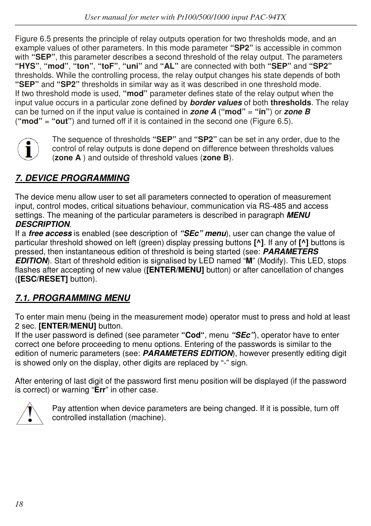Figure 6.5 presents the principle of relay outputs operation for two thresholds mode, and an example values of other parameters. In this mode parameter **"SP2"** is accessible in common with **"SEP"**, this parameter describes a second threshold of the relay output. The parameters **"HYS"**, **"mod"**, **"ton"**, **"toF"**, **"uni"** and **"AL"** are connected with both **"SEP"** and **"SP2"**  thresholds. While the controlling process, the relay output changes his state depends of both **"SEP"** and **"SP2"** thresholds in similar way as it was described in one threshold mode. If two threshold mode is used, **"mod"** parameter defines state of the relay output when the input value occurs in a particular zone defined by *border values* of both **thresholds**. The relay can be turned on if the input value is contained in *zone A* (**"mod"** = **"in"**) or *zone B*  (**"mod"** = **"out"**) and turned off if it is contained in the second one (Figure 6.5).



The sequence of thresholds **"SEP"** and **"SP2"** can be set in any order, due to the control of relay outputs is done depend on difference between thresholds values (**zone A** ) and outside of threshold values (**zone B**).

# *7. DEVICE PROGRAMMING*

The device menu allow user to set all parameters connected to operation of measurement input, control modes, critical situations behaviour, communication via RS-485 and access settings. The meaning of the particular parameters is described in paragraph *MENU DESCRIPTION*.

If a *free access* is enabled (see description of *"SEc" menu*), user can change the value of particular threshold showed on left (green) display pressing buttons **[^]**. If any of **[^]** buttons is pressed, then instantaneous edition of threshold is being started (see: *PARAMETERS EDITION*). Start of threshold edition is signalised by LED named "**M**" (Modify). This LED, stops flashes after accepting of new value (**[ENTER/MENU]** button) or after cancellation of changes (**[ESC/RESET]** button).

# *7.1. PROGRAMMING MENU*

To enter main menu (being in the measurement mode) operator must to press and hold at least 2 sec. **[ENTER/MENU]** button.

If the user password is defined (see parameter **"Cod"**, menu *"SEc"*), operator have to enter correct one before proceeding to menu options. Entering of the passwords is similar to the edition of numeric parameters (see: **PARAMETERS EDITION**), however presently editing digit is showed only on the display, other digits are replaced by "-" sign.

After entering of last digit of the password first menu position will be displayed (if the password is correct) or warning "**Err**" in other case.



Pay attention when device parameters are being changed. If it is possible, turn off controlled installation (machine).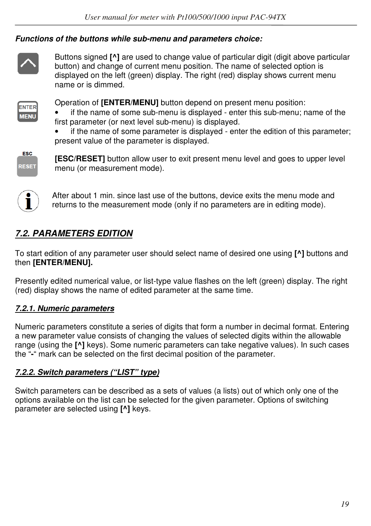#### *Functions of the buttons while sub-menu and parameters choice:*



Buttons signed **[^]** are used to change value of particular digit (digit above particular button) and change of current menu position. The name of selected option is displayed on the left (green) display. The right (red) display shows current menu name or is dimmed.



Operation of **[ENTER/MENU]** button depend on present menu position:

- if the name of some sub-menu is displayed enter this sub-menu; name of the first parameter (or next level sub-menu) is displayed.
- if the name of some parameter is displayed enter the edition of this parameter; present value of the parameter is displayed.



**[ESC/RESET]** button allow user to exit present menu level and goes to upper level menu (or measurement mode).



After about 1 min. since last use of the buttons, device exits the menu mode and returns to the measurement mode (only if no parameters are in editing mode).

# *7.2. PARAMETERS EDITION*

To start edition of any parameter user should select name of desired one using **[^]** buttons and then **[ENTER/MENU].** 

Presently edited numerical value, or list-type value flashes on the left (green) display. The right (red) display shows the name of edited parameter at the same time.

#### *7.2.1. Numeric parameters*

Numeric parameters constitute a series of digits that form a number in decimal format. Entering a new parameter value consists of changing the values of selected digits within the allowable range (using the **[^]** keys). Some numeric parameters can take negative values). In such cases the "**-**" mark can be selected on the first decimal position of the parameter.

#### *7.2.2. Switch parameters ("LIST" type)*

Switch parameters can be described as a sets of values (a lists) out of which only one of the options available on the list can be selected for the given parameter. Options of switching parameter are selected using **[^]** keys.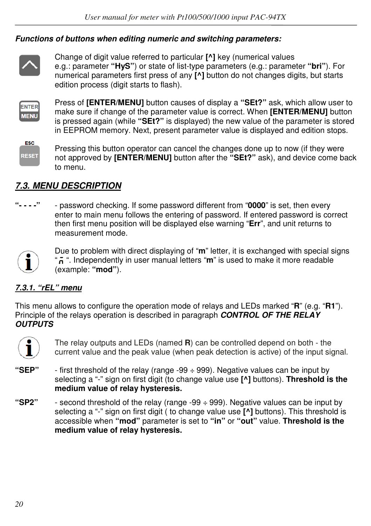#### *Functions of buttons when editing numeric and switching parameters:*



Change of digit value referred to particular **[^]** key (numerical values e.g.: parameter **"HyS"**) or state of list-type parameters (e.g.: parameter **"bri"**). For numerical parameters first press of any **[^]** button do not changes digits, but starts edition process (digit starts to flash).



Press of **[ENTER/MENU]** button causes of display a **"SEt?"** ask, which allow user to make sure if change of the parameter value is correct. When **[ENTER/MENU]** button is pressed again (while **"SEt?"** is displayed) the new value of the parameter is stored in EEPROM memory. Next, present parameter value is displayed and edition stops.



Pressing this button operator can cancel the changes done up to now (if they were not approved by **[ENTER/MENU]** button after the **"SEt?"** ask), and device come back to menu.

## *7.3. MENU DESCRIPTION*

**"- - - -"** - password checking. If some password different from "**0000**" is set, then every enter to main menu follows the entering of password. If entered password is correct then first menu position will be displayed else warning "**Err**", and unit returns to measurement mode.



Due to problem with direct displaying of "**m**" letter, it is exchanged with special signs "n<sup>"</sup>. Independently in user manual letters "m" is used to make it more readable (example: **"mod"**).

#### *7.3.1. "rEL" menu*

This menu allows to configure the operation mode of relays and LEDs marked "**R**" (e.g. "**R1**"). Principle of the relays operation is described in paragraph *CONTROL OF THE RELAY OUTPUTS*



The relay outputs and LEDs (named **R**) can be controlled depend on both - the current value and the peak value (when peak detection is active) of the input signal.

- **"SEP"**  first threshold of the relay (range -99 ÷ 999). Negative values can be input by selecting a "-" sign on first digit (to change value use **[^]** buttons). **Threshold is the medium value of relay hysteresis.**
- **"SP2"**  second threshold of the relay (range -99 ÷ 999). Negative values can be input by selecting a "-" sign on first digit ( to change value use **[^]** buttons). This threshold is accessible when **"mod"** parameter is set to **"in"** or **"out"** value. **Threshold is the medium value of relay hysteresis.**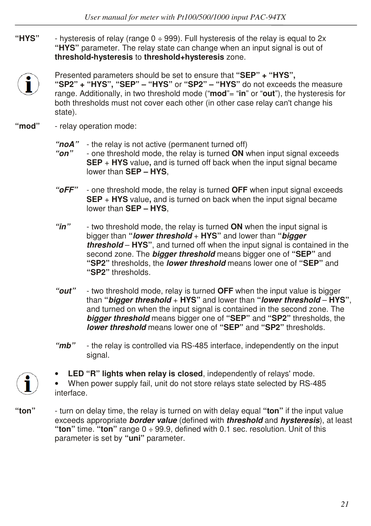**"HYS"** - hysteresis of relay (range 0 ÷ 999). Full hysteresis of the relay is equal to 2x **"HYS"** parameter. The relay state can change when an input signal is out of **threshold-hysteresis** to **threshold+hysteresis** zone.



Presented parameters should be set to ensure that **"SEP" + "HYS",** 

**"SP2" + "HYS", "SEP" – "HYS"** or **"SP2" – "HYS"** do not exceeds the measure range. Additionally, in two threshold mode ("**mod**"= "**in**" or "**out**"), the hysteresis for both thresholds must not cover each other (in other case relay can't change his state).

- **"mod"**  relay operation mode:
	- *"noA"*  the relay is not active (permanent turned off)
	- *"on"*  one threshold mode, the relay is turned **ON** when input signal exceeds **SEP** + **HYS** value**,** and is turned off back when the input signal became lower than **SEP – HYS**,
	- *"oFF"*  one threshold mode, the relay is turned **OFF** when input signal exceeds **SEP** + **HYS** value**,** and is turned on back when the input signal became lower than **SEP – HYS**,
	- *"in"*  two threshold mode, the relay is turned **ON** when the input signal is bigger than **"***lower threshold* + **HYS"** and lower than **"***bigger threshold* – **HYS"**, and turned off when the input signal is contained in the second zone. The *bigger threshold* means bigger one of **"SEP"** and **"SP2"** thresholds, the *lower threshold* means lower one of **"SEP"** and **"SP2"** thresholds.
	- *"out"*  two threshold mode, relay is turned **OFF** when the input value is bigger than **"***bigger threshold* + **HYS"** and lower than **"***lower threshold* – **HYS"**, and turned on when the input signal is contained in the second zone. The *bigger threshold* means bigger one of **"SEP"** and **"SP2"** thresholds, the *lower threshold* means lower one of **"SEP"** and **"SP2"** thresholds.
	- *"mb"*  the relay is controlled via RS-485 interface, independently on the input signal.



**LED "R" lights when relay is closed**, independently of relays' mode.

• When power supply fail, unit do not store relays state selected by RS-485 interface.

**"ton"** - turn on delay time, the relay is turned on with delay equal **"ton"** if the input value exceeds appropriate *border value* (defined with *threshold* and *hysteresis*), at least **"ton"** time. **"ton"** range 0 ÷ 99.9, defined with 0.1 sec. resolution. Unit of this parameter is set by **"uni"** parameter.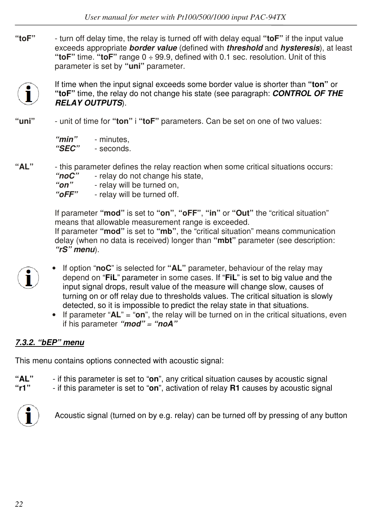**"toF"** - turn off delay time, the relay is turned off with delay equal **"toF"** if the input value exceeds appropriate *border value* (defined with *threshold* and *hysteresis*), at least **"toF"** time. **"toF"** range 0 ÷ 99.9, defined with 0.1 sec. resolution. Unit of this parameter is set by **"uni"** parameter.



If time when the input signal exceeds some border value is shorter than **"ton"** or **"toF"** time, the relay do not change his state (see paragraph: *CONTROL OF THE RELAY OUTPUTS*).

**"uni"** - unit of time for **"ton"** i **"toF"** parameters. Can be set on one of two values:

| "min"        | - minutes. |
|--------------|------------|
| <i>"SEC"</i> | - seconds. |

**"AL"** - this parameter defines the relay reaction when some critical situations occurs: "noC" - relay do not change his state,  *"on"* - relay will be turned on,  *"oFF"* - relay will be turned off.

> If parameter **"mod"** is set to **"on"**, **"oFF"**, **"in"** or **"Out"** the "critical situation" means that allowable measurement range is exceeded. If parameter **"mod"** is set to **"mb"**, the "critical situation" means communication delay (when no data is received) longer than **"mbt"** parameter (see description: *"rS" menu*).

- 
- If option "**noC**" is selected for **"AL"** parameter, behaviour of the relay may depend on "**FiL**" parameter in some cases. If "**FiL**" is set to big value and the input signal drops, result value of the measure will change slow, causes of turning on or off relay due to thresholds values. The critical situation is slowly detected, so it is impossible to predict the relay state in that situations.
	- If parameter "**AL**" = "**on**", the relay will be turned on in the critical situations, even if his parameter *"mod" = "noA"*

## *7.3.2. "bEP" menu*

This menu contains options connected with acoustic signal:

- **"AL"**  if this parameter is set to "**on**", any critical situation causes by acoustic signal
- **"r1"**  if this parameter is set to "**on**", activation of relay **R1** causes by acoustic signal



Acoustic signal (turned on by e.g. relay) can be turned off by pressing of any button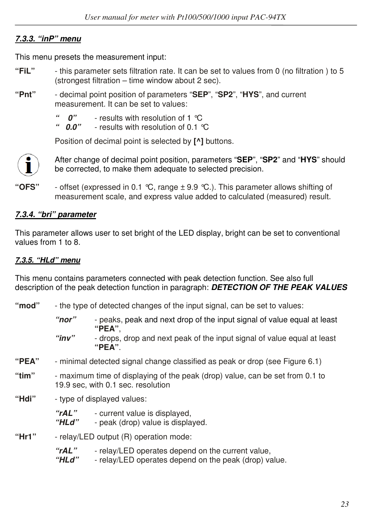## *7.3.3. "inP" menu*

This menu presets the measurement input:

- **"FiL"**  this parameter sets filtration rate. It can be set to values from 0 (no filtration ) to 5 (strongest filtration – time window about 2 sec).
- **"Pnt"**  decimal point position of parameters "**SEP**", "**SP2**", "**HYS**", and current measurement. It can be set to values:
	- *"* 0" results with resolution of 1 °C<br>" 0.0" results with resolution of 0.1 °
	- *" 0.0"*  results with resolution of 0.1 °C

Position of decimal point is selected by **[^]** buttons.



After change of decimal point position, parameters "**SEP**", "**SP2**" and "**HYS**" should be corrected, to make them adequate to selected precision.

**"OFS"** - offset (expressed in 0.1 °C, range ± 9.9 °C.). This parameter allows shifting of measurement scale, and express value added to calculated (measured) result.

## *7.3.4. "bri" parameter*

This parameter allows user to set bright of the LED display, bright can be set to conventional values from 1 to 8.

#### *7.3.5. "HLd" menu*

This menu contains parameters connected with peak detection function. See also full description of the peak detection function in paragraph: *DETECTION OF THE PEAK VALUES* 

- **"mod"**  the type of detected changes of the input signal, can be set to values:
	- *"nor"*  peaks, peak and next drop of the input signal of value equal at least **"PEA"**,  *"inv"* - drops, drop and next peak of the input signal of value equal at least
		- **"PEA"**.
- **"PEA"**  minimal detected signal change classified as peak or drop (see Figure 6.1)
- **"tim"**  maximum time of displaying of the peak (drop) value, can be set from 0.1 to 19.9 sec, with 0.1 sec. resolution
- **"Hdi"**  type of displayed values:

 *"rAL"* - current value is displayed,  *"HLd"* - peak (drop) value is displayed.

- **"Hr1"**  relay/LED output (R) operation mode:
	- *"rAL"*  relay/LED operates depend on the current value,
	- *"HLd"*  relay/LED operates depend on the peak (drop) value.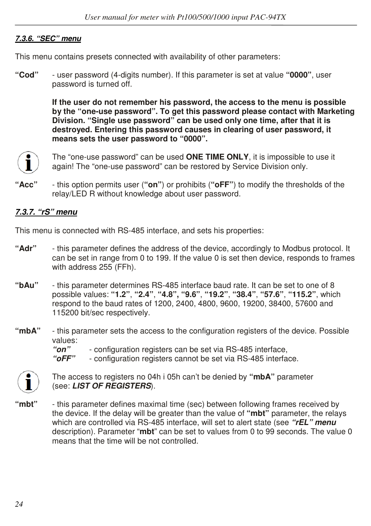#### *7.3.6. "SEC" menu*

This menu contains presets connected with availability of other parameters:

**"Cod"** - user password (4-digits number). If this parameter is set at value **"0000"**, user password is turned off.

> **If the user do not remember his password, the access to the menu is possible by the "one-use password". To get this password please contact with Marketing Division. "Single use password" can be used only one time, after that it is destroyed. Entering this password causes in clearing of user password, it means sets the user password to "0000".**



The "one-use password" can be used **ONE TIME ONLY**, it is impossible to use it again! The "one-use password" can be restored by Service Division only.

**"Acc"** - this option permits user (**"on"**) or prohibits (**"oFF"**) to modify the thresholds of the relay/LED R without knowledge about user password.

#### *7.3.7. "rS" menu*

This menu is connected with RS-485 interface, and sets his properties:

- **"Adr"**  this parameter defines the address of the device, accordingly to Modbus protocol. It can be set in range from 0 to 199. If the value 0 is set then device, responds to frames with address 255 (FFh).
- **"bAu"** this parameter determines RS-485 interface baud rate. It can be set to one of 8 possible values: **"1.2"**, **"2.4"**, **"4.8", "9.6"**, **"19.2"**, **"38.4"**, **"57.6"**, **"115.2"**, which respond to the baud rates of 1200, 2400, 4800, 9600, 19200, 38400, 57600 and 115200 bit/sec respectively.
- **"mbA"**  this parameter sets the access to the configuration registers of the device. Possible values:

 *"on"* - configuration registers can be set via RS-485 interface,

- configuration registers cannot be set via RS-485 interface.



The access to registers no 04h i 05h can't be denied by **"mbA"** parameter (see: *LIST OF REGISTERS*).

**"mbt"** - this parameter defines maximal time (sec) between following frames received by the device. If the delay will be greater than the value of **"mbt"** parameter, the relays which are controlled via RS-485 interface, will set to alert state (see *"rEL" menu* description). Parameter "**mbt**" can be set to values from 0 to 99 seconds. The value 0 means that the time will be not controlled.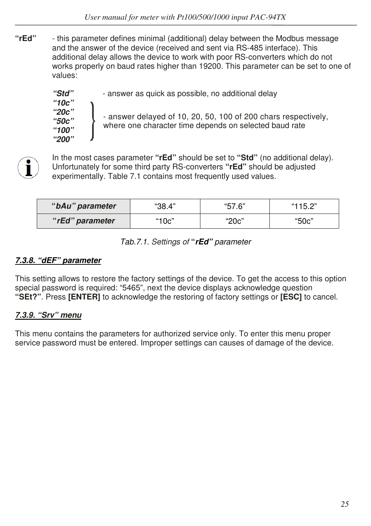**"rEd"** - this parameter defines minimal (additional) delay between the Modbus message and the answer of the device (received and sent via RS-485 interface). This additional delay allows the device to work with poor RS-converters which do not works properly on baud rates higher than 19200. This parameter can be set to one of values:

> *"Std"* - answer as quick as possible, no additional delay  *"10c" "20c" "50c" "100" "200"*  - answer delayed of 10, 20, 50, 100 of 200 chars respectively, where one character time depends on selected baud rate

In the most cases parameter **"rEd"** should be set to **"Std"** (no additional delay). Unfortunately for some third party RS-converters **"rEd"** should be adjusted experimentally. Table 7.1 contains most frequently used values.

| "bAu" parameter | "38.4" | "57.6" | "115.2" |
|-----------------|--------|--------|---------|
| "rEd" parameter | "10c"  | "20c"  | "50c"   |

*Tab.7.1. Settings of* **"***rEd" parameter* 

## *7.3.8. "dEF" parameter*

This setting allows to restore the factory settings of the device. To get the access to this option special password is required: "5465", next the device displays acknowledge question **"SEt?"**. Press **[ENTER]** to acknowledge the restoring of factory settings or **[ESC]** to cancel.

## *7.3.9. "Srv" menu*

This menu contains the parameters for authorized service only. To enter this menu proper service password must be entered. Improper settings can causes of damage of the device.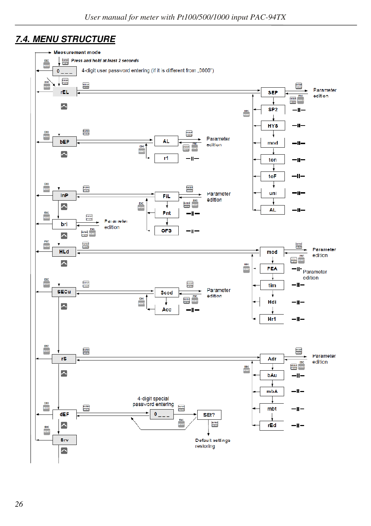## *7.4. MENU STRUCTURE*

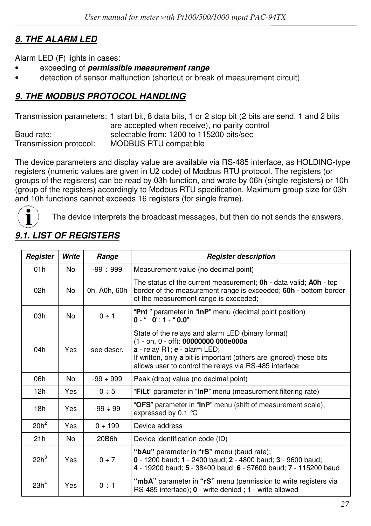# *8. THE ALARM LED*

Alarm LED (**F**) lights in cases:

- exceeding of *permissible measurement range*
- detection of sensor malfunction (shortcut or break of measurement circuit)

## *9. THE MODBUS PROTOCOL HANDLING*

Transmission parameters: 1 start bit, 8 data bits, 1 or 2 stop bit (2 bits are send, 1 and 2 bits are accepted when receive), no parity control Baud rate:<br>Transmission protocol: MODBUS RTU compatible<br>Transmission protocol: MODBUS RTU compatible MODBUS RTU compatible

The device parameters and display value are available via RS-485 interface, as HOLDING-type registers (numeric values are given in U2 code) of Modbus RTU protocol. The registers (or groups of the registers) can be read by 03h function, and wrote by 06h (single registers) or 10h (group of the registers) accordingly to Modbus RTU specification. Maximum group size for 03h and 10h functions cannot exceeds 16 registers (for single frame).



The device interprets the broadcast messages, but then do not sends the answers.

| Register         | Write | Range          | <b>Register description</b>                                                                                                                                                                                                                                |
|------------------|-------|----------------|------------------------------------------------------------------------------------------------------------------------------------------------------------------------------------------------------------------------------------------------------------|
| 01h              | No.   | $-99 \div 999$ | Measurement value (no decimal point)                                                                                                                                                                                                                       |
| 02h              | No.   | 0h, A0h, 60h   | The status of the current measurement; <b>0h</b> - data valid; <b>A0h</b> - top<br>border of the measurement range is exceeded; 60h - bottom border<br>of the measurement range is exceeded;                                                               |
| 03h              | No.   | $0 \div 1$     | "Pnt" parameter in "InP" menu (decimal point position)<br>$0 -$ " $0$ ": 1 - " $0.0$ "                                                                                                                                                                     |
| 04h              | Yes   | see descr.     | State of the relays and alarm LED (binary format)<br>(1 - on, 0 - off): 00000000 000e000a<br>a - relay R1; e - alarm LED;<br>If written, only a bit is important (others are ignored) these bits<br>allows user to control the relays via RS-485 interface |
| 06h              | No.   | $-99 \div 999$ | Peak (drop) value (no decimal point)                                                                                                                                                                                                                       |
| 12h              | Yes   | 0 ÷ 5          | "FiLt" parameter in "InP" menu (measurement filtering rate)                                                                                                                                                                                                |
| 18h              | Yes   | $-99 \div 99$  | "OFS" parameter in "InP" menu (shift of measurement scale),<br>expressed by 0.1 $^{\circ}$ C                                                                                                                                                               |
| $20h^2$          | Yes   | $0 \div 199$   | Device address                                                                                                                                                                                                                                             |
| 21h              | No    | 20B6h          | Device identification code (ID)                                                                                                                                                                                                                            |
| $22h^3$          | Yes   | 0 ÷ 7          | "bAu" parameter in "rS" menu (baud rate);<br>0 - 1200 baud; 1 - 2400 baud; 2 - 4800 baud; 3 - 9600 baud;<br>4 - 19200 baud; 5 - 38400 baud; 6 - 57600 baud; 7 - 115200 baud                                                                                |
| 23h <sup>4</sup> | Yes   | $0 \div 1$     | "mbA" parameter in "rS" menu (permission to write registers via<br>RS-485 interface); 0 - write denied ; 1 - write allowed                                                                                                                                 |

# *9.1. LIST OF REGISTERS*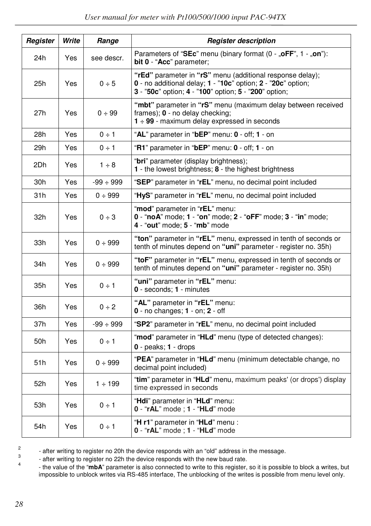| Register        | Write | Range          | <b>Register description</b>                                                                                                                                                        |  |  |  |
|-----------------|-------|----------------|------------------------------------------------------------------------------------------------------------------------------------------------------------------------------------|--|--|--|
| 24h             | Yes   | see descr.     | Parameters of "SEc" menu (binary format $(0 - 0.0$ FF", $1 - 0.0$ m"):<br>bit 0 - "Acc" parameter;                                                                                 |  |  |  |
| 25h             | Yes   | 0 ÷ 5          | "rEd" parameter in "rS" menu (additional response delay);<br>0 - no additional delay; 1 - "10c" option; 2 - "20c" option;<br>3 - "50c" option; 4 - "100" option; 5 - "200" option; |  |  |  |
| 27h             | Yes   | 0 ÷ 99         | "mbt" parameter in "rS" menu (maximum delay between received<br>frames); 0 - no delay checking;<br>$1 \div 99$ - maximum delay expressed in seconds                                |  |  |  |
| 28h             | Yes   | $0 \div 1$     | "AL" parameter in "bEP" menu: 0 - off; 1 - on                                                                                                                                      |  |  |  |
| 29h             | Yes   | $0 \div 1$     | "R1" parameter in "bEP" menu: 0 - off; 1 - on                                                                                                                                      |  |  |  |
| 2Dh             | Yes   | $1 \div 8$     | "bri" parameter (display brightness);<br>1 - the lowest brightness; 8 - the highest brightness                                                                                     |  |  |  |
| 30h             | Yes   | $-99 \div 999$ | "SEP" parameter in "rEL" menu, no decimal point included                                                                                                                           |  |  |  |
| 31h             | Yes   | 0 ÷ 999        | "HyS" parameter in "rEL" menu, no decimal point included                                                                                                                           |  |  |  |
| 32h             | Yes   | 0 ÷ 3          | "mod" parameter in "rEL" menu:<br>0 - "noA" mode; 1 - "on" mode; 2 - "oFF" mode; 3 - "in" mode;<br>4 - "out" mode; 5 - "mb" mode                                                   |  |  |  |
| 33h             | Yes   | 0 ÷ 999        | "ton" parameter in "rEL" menu, expressed in tenth of seconds or<br>tenth of minutes depend on "uni" parameter - register no. 35h)                                                  |  |  |  |
| 34h             | Yes   | 0 ÷ 999        | "toF" parameter in "rEL" menu, expressed in tenth of seconds or<br>tenth of minutes depend on "uni" parameter - register no. 35h)                                                  |  |  |  |
| 35h             | Yes   | $0 \div 1$     | "uni" parameter in "rEL" menu:<br>0 - seconds; 1 - minutes                                                                                                                         |  |  |  |
| 36h             | Yes   | $0 \div 2$     | "AL" parameter in "rEL" menu:<br>$0 - no$ changes; $1 - on$ ; $2 - off$                                                                                                            |  |  |  |
| 37h             | Yes   | $-99 \div 999$ | "SP2" parameter in "rEL" menu, no decimal point included                                                                                                                           |  |  |  |
| 50h             | Yes   | $0 \div 1$     | "mod" parameter in "HLd" menu (type of detected changes):<br>$0 - peaks$ : 1 - drops                                                                                               |  |  |  |
| 51 <sub>h</sub> | Yes   | 0 ÷ 999        | "PEA" parameter in "HLd" menu (minimum detectable change, no<br>decimal point included)                                                                                            |  |  |  |
| 52h             | Yes   | $1 \div 199$   | "tim" parameter in "HLd" menu, maximum peaks' (or drops') display<br>time expressed in seconds                                                                                     |  |  |  |
| 53h             | Yes   | $0 \div 1$     | "Hdi" parameter in "HLd" menu:<br>$0 - "rAL"$ mode; $1 - "HLd"$ mode                                                                                                               |  |  |  |
| 54h             | Yes   | $0 \div 1$     | "H r1" parameter in "HLd" menu :<br>$0 - "rAL"$ mode; $1 - "HLd"$ mode                                                                                                             |  |  |  |

<sup>2</sup>

- after writing to register no 20h the device responds with an "old" address in the message.

3 - after writing to register no 22h the device responds with the new baud rate. 4

 - the value of the "**mbA**" parameter is also connected to write to this register, so it is possible to block a writes, but impossible to unblock writes via RS-485 interface, The unblocking of the writes is possible from menu level only.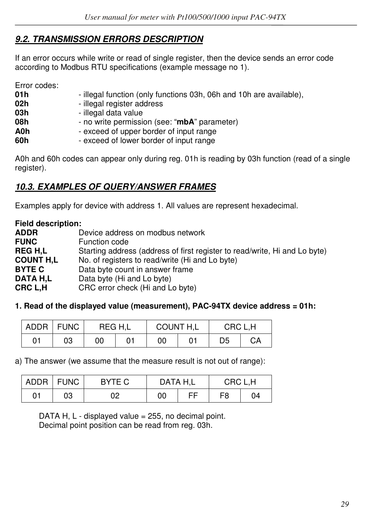## *9.2. TRANSMISSION ERRORS DESCRIPTION*

If an error occurs while write or read of single register, then the device sends an error code according to Modbus RTU specifications (example message no 1).

Error codes:

| - illegal function (only functions 03h, 06h and 10h are available), |
|---------------------------------------------------------------------|
| - illegal register address                                          |
| - illegal data value                                                |
| - no write permission (see: "mbA" parameter)                        |
| - exceed of upper border of input range                             |
| - exceed of lower border of input range                             |
|                                                                     |

A0h and 60h codes can appear only during reg. 01h is reading by 03h function (read of a single register).

## *10.3. EXAMPLES OF QUERY/ANSWER FRAMES*

Examples apply for device with address 1. All values are represent hexadecimal.

**Field description: ADDR Device address on modbus network**<br> **FUNC Device** Function code **FUNC** Function code<br> **REG H.L** Starting addres Starting address (address of first register to read/write, Hi and Lo byte) **COUNT H,L** No. of registers to read/write (Hi and Lo byte) **BYTE C** Data byte count in answer frame **DATA H,L** Data byte (Hi and Lo byte)<br>**CRC L.H** CRC error check (Hi and L CRC error check (Hi and Lo byte)

#### **1. Read of the displayed value (measurement), PAC-94TX device address = 01h:**

| <b>ADDR</b> | <b>FUNC</b> |    | REG H.L | COUNT H,L |  | CRC L.H |    |
|-------------|-------------|----|---------|-----------|--|---------|----|
| 01          | 03          | 00 |         | 00        |  | D5      | CA |

a) The answer (we assume that the measure result is not out of range):

|    | ADDR   FUNC | BYTE C | DATA H.L |  | CRC L.H |    |
|----|-------------|--------|----------|--|---------|----|
| 01 | 03          | 02     | ЕF<br>00 |  | F8      | 04 |

DATA H,  $L$  - displayed value = 255, no decimal point. Decimal point position can be read from reg. 03h.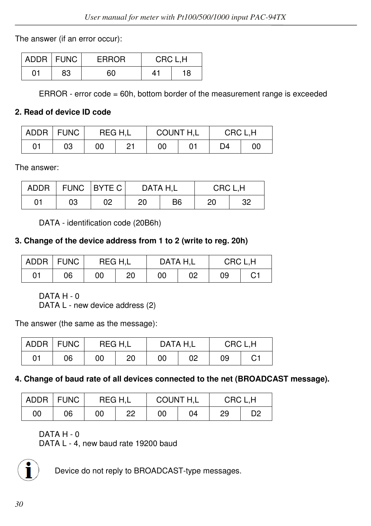The answer (if an error occur):

|    | ADDR   FUNC | <b>ERROR</b> | CRC L,H |    |
|----|-------------|--------------|---------|----|
| 01 | 83          | 60           | 41      | 18 |

ERROR - error code = 60h, bottom border of the measurement range is exceeded

#### **2. Read of device ID code**

|    | ADDR   FUNC | REG H.L |    | COUNT H,L |  | CRC L.H |    |
|----|-------------|---------|----|-----------|--|---------|----|
| 01 | 03          | 00      | Ο1 | 00        |  | D4      | 00 |

The answer:

| <b>ADDR</b> |    | FUNC   BYTE C | DATA H.L |    | CRC L.H |    |  |
|-------------|----|---------------|----------|----|---------|----|--|
| 01          | 03 | 02            | 20       | B6 | 20      | 32 |  |

DATA - identification code (20B6h)

#### **3. Change of the device address from 1 to 2 (write to reg. 20h)**

|    | ADDR   FUNC | REG H.L |    | DATA H.L |    | CRC L.H |    |
|----|-------------|---------|----|----------|----|---------|----|
| 01 | 06          | 00      | 20 | 00       | 02 | 09      | C1 |

DATA H - 0

DATA L - new device address (2)

The answer (the same as the message):

|    | ADDR FUNC | REG H.L |    | DATA H.L |    | CRC L.H |    |
|----|-----------|---------|----|----------|----|---------|----|
| 01 | 06        | 00      | 20 | 00       | 02 | 09      | С1 |

#### **4. Change of baud rate of all devices connected to the net (BROADCAST message).**

|    | ADDR FUNC | REG H.L |    | COUNT H,L |    | CRC L.H |    |
|----|-----------|---------|----|-----------|----|---------|----|
| 00 | 06        | 00      | 22 | 00        | 04 | 29      | D2 |

DATA H - 0

DATA L - 4, new baud rate 19200 baud



Device do not reply to BROADCAST-type messages.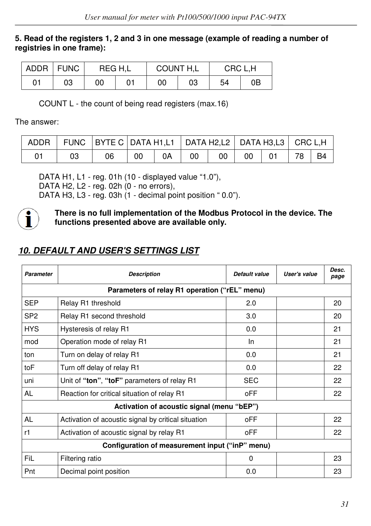#### **5. Read of the registers 1, 2 and 3 in one message (example of reading a number of registries in one frame):**

|    | ADDR   FUNC | REG H.L |  | COUNT H.L |    | CRC L.H |    |
|----|-------------|---------|--|-----------|----|---------|----|
| 01 | 03          | 00      |  | 00        | 03 | 54      | 0Β |

COUNT L - the count of being read registers (max.16)

The answer:

|    | ADDR   FUNC   BYTE C   DATA H1,L1   DATA H2,L2   DATA H3,L3   CRC L,H |     |    |    |      |         |                       |  |
|----|-----------------------------------------------------------------------|-----|----|----|------|---------|-----------------------|--|
| 03 | 06                                                                    | -00 | 0A | 00 | $00$ | $00$ 01 | $\vert$ 78 $\vert$ B4 |  |

DATA H1, L1 - reg. 01h (10 - displayed value "1.0"), DATA H2, L2 - reg. 02h (0 - no errors),

DATA H3, L3 - reg. 03h (1 - decimal point position " 0.0").



**There is no full implementation of the Modbus Protocol in the device. The functions presented above are available only.**

# *10. DEFAULT AND USER'S SETTINGS LIST*

| Parameter       | <b>Description</b>                                  | Default value | User's value | Desc.<br>page |  |  |  |
|-----------------|-----------------------------------------------------|---------------|--------------|---------------|--|--|--|
|                 | Parameters of relay R1 operation ("rEL" menu)       |               |              |               |  |  |  |
| <b>SEP</b>      | Relay R1 threshold                                  | 2.0           |              | 20            |  |  |  |
| SP <sub>2</sub> | Relay R1 second threshold                           | 3.0           |              | 20            |  |  |  |
| <b>HYS</b>      | Hysteresis of relay R1                              | 0.0           |              | 21            |  |  |  |
| mod             | Operation mode of relay R1                          | In            |              | 21            |  |  |  |
| ton             | Turn on delay of relay R1                           | 0.0           |              | 21            |  |  |  |
| toF             | Turn off delay of relay R1                          | 0.0           |              | 22            |  |  |  |
| uni             | Unit of "ton", "toF" parameters of relay R1         | <b>SEC</b>    |              | 22            |  |  |  |
| AL              | Reaction for critical situation of relay R1         | oFF           |              | 22            |  |  |  |
|                 | Activation of acoustic signal (menu "bEP")          |               |              |               |  |  |  |
| AL              | Activation of acoustic signal by critical situation | oFF           |              | 22            |  |  |  |
| r1              | Activation of acoustic signal by relay R1           | oFF           |              | 22            |  |  |  |
|                 | Configuration of measurement input ("inP" menu)     |               |              |               |  |  |  |
| FiL             | Filtering ratio                                     | $\Omega$      |              | 23            |  |  |  |
| Pnt             | Decimal point position                              | 0.0           |              | 23            |  |  |  |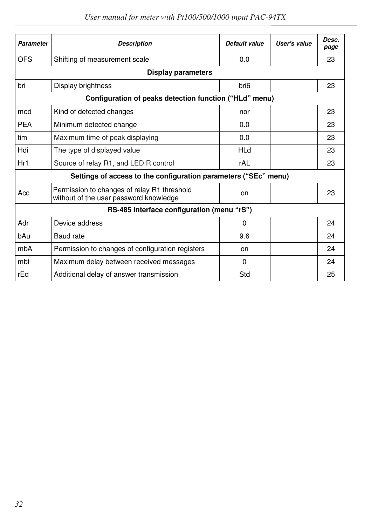| <b>Parameter</b>                                       | <b>Description</b>                                                                    | Default value    | User's value | Desc.<br>page |  |  |  |  |  |
|--------------------------------------------------------|---------------------------------------------------------------------------------------|------------------|--------------|---------------|--|--|--|--|--|
| <b>OFS</b>                                             | Shifting of measurement scale                                                         | 0.0              |              | 23            |  |  |  |  |  |
|                                                        | <b>Display parameters</b>                                                             |                  |              |               |  |  |  |  |  |
| bri                                                    | Display brightness                                                                    | bri <sub>6</sub> |              | 23            |  |  |  |  |  |
| Configuration of peaks detection function ("HLd" menu) |                                                                                       |                  |              |               |  |  |  |  |  |
| mod                                                    | Kind of detected changes                                                              | nor              |              | 23            |  |  |  |  |  |
| <b>PEA</b>                                             | Minimum detected change                                                               | 0.0              |              | 23            |  |  |  |  |  |
| tim                                                    | Maximum time of peak displaying                                                       | 0.0              |              | 23            |  |  |  |  |  |
| Hdi                                                    | The type of displayed value                                                           | <b>HLd</b>       |              | 23            |  |  |  |  |  |
| Hr1                                                    | Source of relay R1, and LED R control                                                 | rAL              |              | 23            |  |  |  |  |  |
|                                                        | Settings of access to the configuration parameters ("SEc" menu)                       |                  |              |               |  |  |  |  |  |
| Acc                                                    | Permission to changes of relay R1 threshold<br>without of the user password knowledge | on               |              | 23            |  |  |  |  |  |
|                                                        | RS-485 interface configuration (menu "rS")                                            |                  |              |               |  |  |  |  |  |
| Adr                                                    | Device address                                                                        | 0                |              | 24            |  |  |  |  |  |
| bAu                                                    | Baud rate                                                                             | 9.6              |              | 24            |  |  |  |  |  |
| mbA                                                    | Permission to changes of configuration registers                                      | on               |              | 24            |  |  |  |  |  |
| mbt                                                    | Maximum delay between received messages                                               | 0                |              | 24            |  |  |  |  |  |
| rEd                                                    | Additional delay of answer transmission                                               | Std              |              | 25            |  |  |  |  |  |